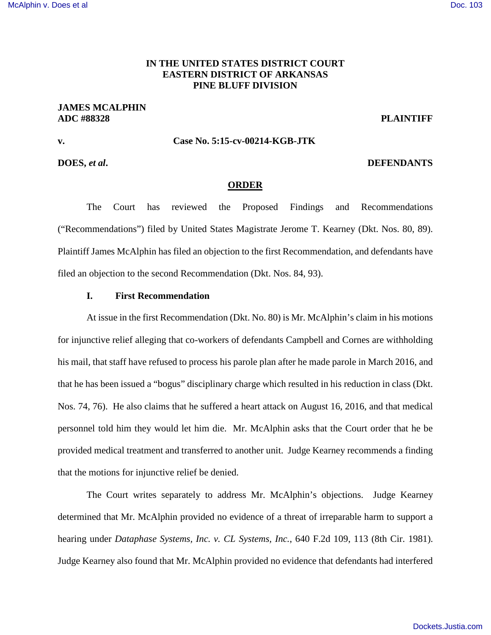# **IN THE UNITED STATES DISTRICT COURT EASTERN DISTRICT OF ARKANSAS PINE BLUFF DIVISION**

# **JAMES MCALPHIN ADC #88328 PLAINTIFF**

## **v. Case No. 5:15-cv-00214-KGB-JTK**

# **DOES,** *et al***. DEFENDANTS**

## **ORDER**

The Court has reviewed the Proposed Findings and Recommendations ("Recommendations") filed by United States Magistrate Jerome T. Kearney (Dkt. Nos. 80, 89). Plaintiff James McAlphin has filed an objection to the first Recommendation, and defendants have filed an objection to the second Recommendation (Dkt. Nos. 84, 93).

### **I. First Recommendation**

At issue in the first Recommendation (Dkt. No. 80) is Mr. McAlphin's claim in his motions for injunctive relief alleging that co-workers of defendants Campbell and Cornes are withholding his mail, that staff have refused to process his parole plan after he made parole in March 2016, and that he has been issued a "bogus" disciplinary charge which resulted in his reduction in class (Dkt. Nos. 74, 76). He also claims that he suffered a heart attack on August 16, 2016, and that medical personnel told him they would let him die. Mr. McAlphin asks that the Court order that he be provided medical treatment and transferred to another unit. Judge Kearney recommends a finding that the motions for injunctive relief be denied.

The Court writes separately to address Mr. McAlphin's objections. Judge Kearney determined that Mr. McAlphin provided no evidence of a threat of irreparable harm to support a hearing under *Dataphase Systems, Inc. v. CL Systems, Inc.*, 640 F.2d 109, 113 (8th Cir. 1981). Judge Kearney also found that Mr. McAlphin provided no evidence that defendants had interfered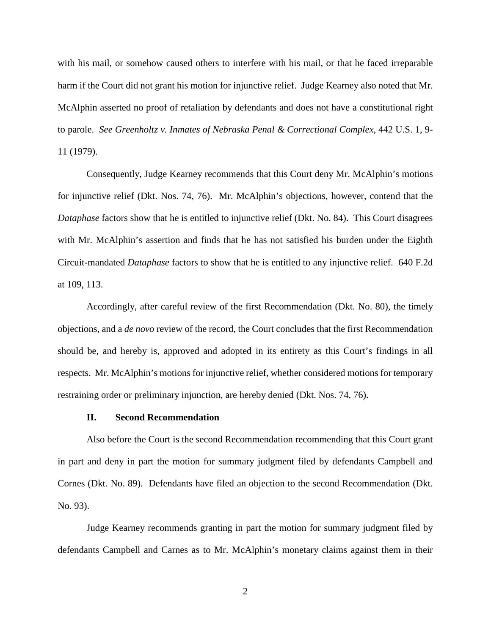with his mail, or somehow caused others to interfere with his mail, or that he faced irreparable harm if the Court did not grant his motion for injunctive relief. Judge Kearney also noted that Mr. McAlphin asserted no proof of retaliation by defendants and does not have a constitutional right to parole. *See Greenholtz v. Inmates of Nebraska Penal & Correctional Complex*, 442 U.S. 1, 9- 11 (1979).

Consequently, Judge Kearney recommends that this Court deny Mr. McAlphin's motions for injunctive relief (Dkt. Nos. 74, 76). Mr. McAlphin's objections, however, contend that the *Dataphase* factors show that he is entitled to injunctive relief (Dkt. No. 84). This Court disagrees with Mr. McAlphin's assertion and finds that he has not satisfied his burden under the Eighth Circuit-mandated *Dataphase* factors to show that he is entitled to any injunctive relief. 640 F.2d at 109, 113.

Accordingly, after careful review of the first Recommendation (Dkt. No. 80), the timely objections, and a *de novo* review of the record, the Court concludes that the first Recommendation should be, and hereby is, approved and adopted in its entirety as this Court's findings in all respects. Mr. McAlphin's motions for injunctive relief, whether considered motions for temporary restraining order or preliminary injunction, are hereby denied (Dkt. Nos. 74, 76).

#### **II. Second Recommendation**

Also before the Court is the second Recommendation recommending that this Court grant in part and deny in part the motion for summary judgment filed by defendants Campbell and Cornes (Dkt. No. 89). Defendants have filed an objection to the second Recommendation (Dkt. No. 93).

Judge Kearney recommends granting in part the motion for summary judgment filed by defendants Campbell and Carnes as to Mr. McAlphin's monetary claims against them in their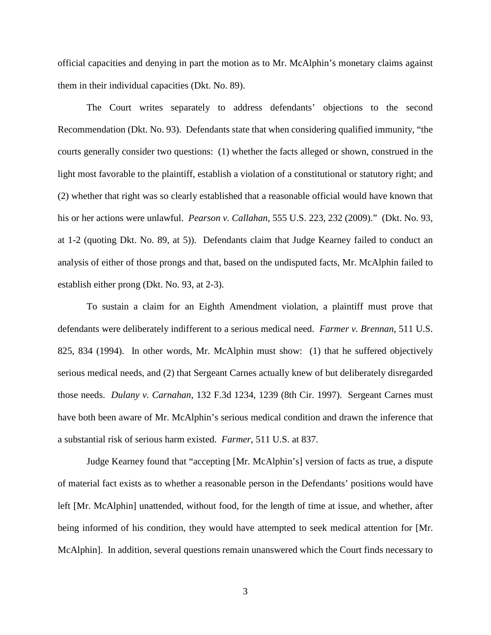official capacities and denying in part the motion as to Mr. McAlphin's monetary claims against them in their individual capacities (Dkt. No. 89).

The Court writes separately to address defendants' objections to the second Recommendation (Dkt. No. 93). Defendants state that when considering qualified immunity, "the courts generally consider two questions: (1) whether the facts alleged or shown, construed in the light most favorable to the plaintiff, establish a violation of a constitutional or statutory right; and (2) whether that right was so clearly established that a reasonable official would have known that his or her actions were unlawful. *Pearson v. Callahan*, 555 U.S. 223, 232 (2009)." (Dkt. No. 93, at 1-2 (quoting Dkt. No. 89, at 5)). Defendants claim that Judge Kearney failed to conduct an analysis of either of those prongs and that, based on the undisputed facts, Mr. McAlphin failed to establish either prong (Dkt. No. 93, at 2-3).

To sustain a claim for an Eighth Amendment violation, a plaintiff must prove that defendants were deliberately indifferent to a serious medical need. *Farmer v. Brennan*, 511 U.S. 825, 834 (1994). In other words, Mr. McAlphin must show: (1) that he suffered objectively serious medical needs, and (2) that Sergeant Carnes actually knew of but deliberately disregarded those needs. *Dulany v. Carnahan*, 132 F.3d 1234, 1239 (8th Cir. 1997). Sergeant Carnes must have both been aware of Mr. McAlphin's serious medical condition and drawn the inference that a substantial risk of serious harm existed. *Farmer*, 511 U.S. at 837.

Judge Kearney found that "accepting [Mr. McAlphin's] version of facts as true, a dispute of material fact exists as to whether a reasonable person in the Defendants' positions would have left [Mr. McAlphin] unattended, without food, for the length of time at issue, and whether, after being informed of his condition, they would have attempted to seek medical attention for [Mr. McAlphin]. In addition, several questions remain unanswered which the Court finds necessary to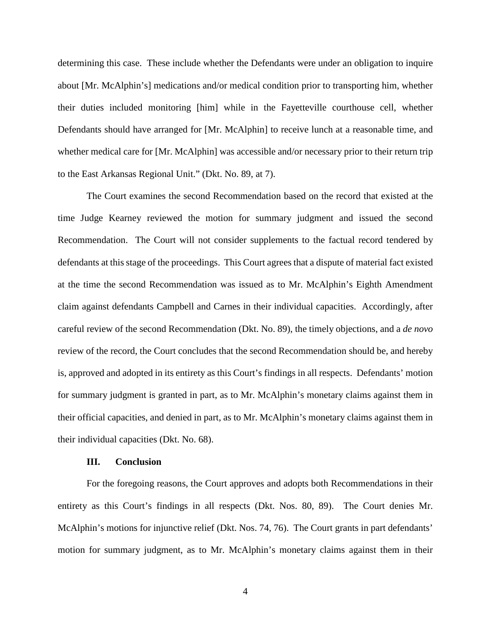determining this case. These include whether the Defendants were under an obligation to inquire about [Mr. McAlphin's] medications and/or medical condition prior to transporting him, whether their duties included monitoring [him] while in the Fayetteville courthouse cell, whether Defendants should have arranged for [Mr. McAlphin] to receive lunch at a reasonable time, and whether medical care for [Mr. McAlphin] was accessible and/or necessary prior to their return trip to the East Arkansas Regional Unit." (Dkt. No. 89, at 7).

The Court examines the second Recommendation based on the record that existed at the time Judge Kearney reviewed the motion for summary judgment and issued the second Recommendation. The Court will not consider supplements to the factual record tendered by defendants at this stage of the proceedings. This Court agrees that a dispute of material fact existed at the time the second Recommendation was issued as to Mr. McAlphin's Eighth Amendment claim against defendants Campbell and Carnes in their individual capacities. Accordingly, after careful review of the second Recommendation (Dkt. No. 89), the timely objections, and a *de novo* review of the record, the Court concludes that the second Recommendation should be, and hereby is, approved and adopted in its entirety as this Court's findings in all respects. Defendants' motion for summary judgment is granted in part, as to Mr. McAlphin's monetary claims against them in their official capacities, and denied in part, as to Mr. McAlphin's monetary claims against them in their individual capacities (Dkt. No. 68).

#### **III. Conclusion**

For the foregoing reasons, the Court approves and adopts both Recommendations in their entirety as this Court's findings in all respects (Dkt. Nos. 80, 89). The Court denies Mr. McAlphin's motions for injunctive relief (Dkt. Nos. 74, 76). The Court grants in part defendants' motion for summary judgment, as to Mr. McAlphin's monetary claims against them in their